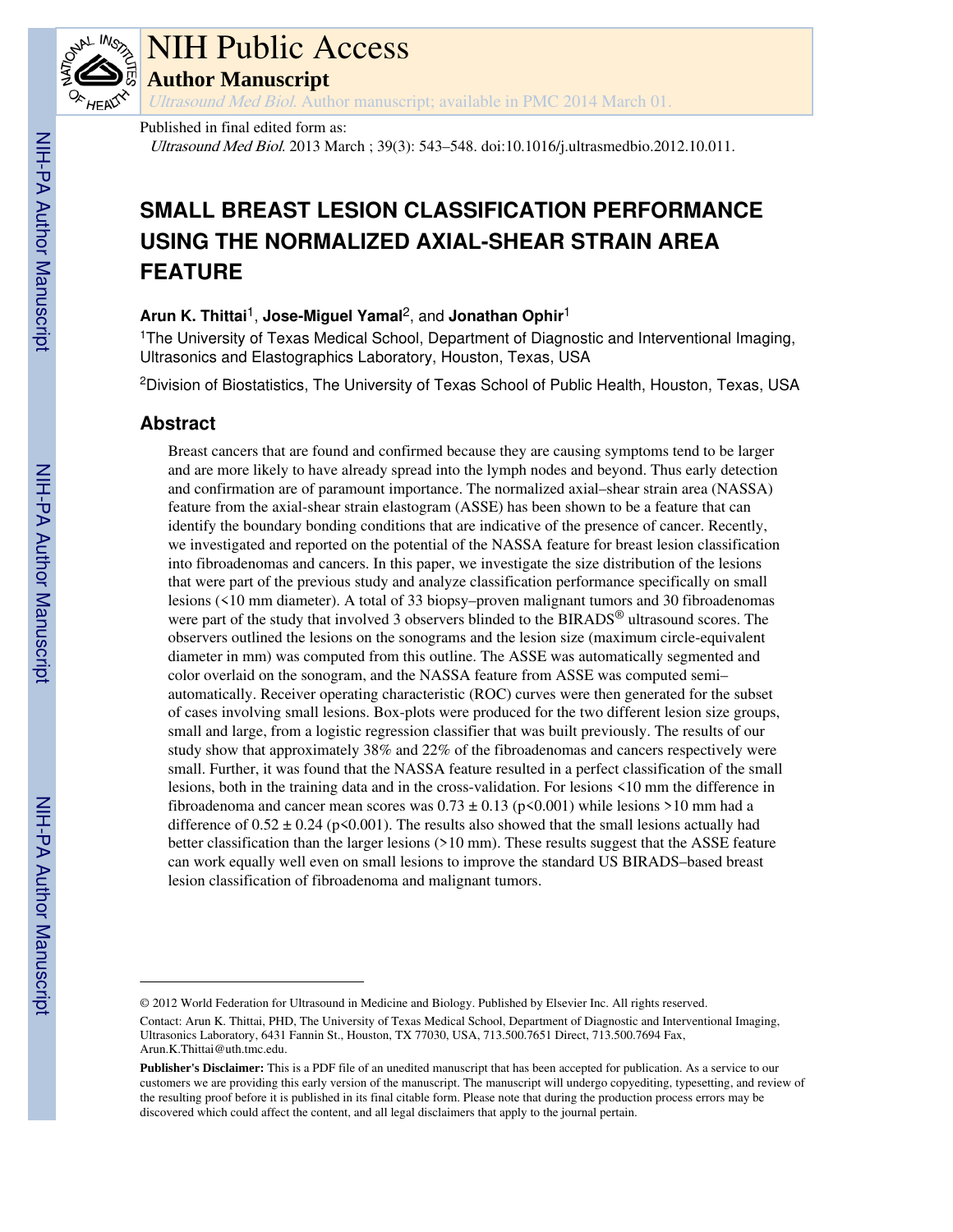

# NIH Public Access

**Author Manuscript**

Ultrasound Med Biol. Author manuscript; available in PMC 2014 March 01.

Published in final edited form as:

Ultrasound Med Biol. 2013 March ; 39(3): 543–548. doi:10.1016/j.ultrasmedbio.2012.10.011.

# **SMALL BREAST LESION CLASSIFICATION PERFORMANCE USING THE NORMALIZED AXIAL-SHEAR STRAIN AREA FEATURE**

# **Arun K. Thittai**1, **Jose-Miguel Yamal**2, and **Jonathan Ophir**<sup>1</sup>

<sup>1</sup>The University of Texas Medical School, Department of Diagnostic and Interventional Imaging, Ultrasonics and Elastographics Laboratory, Houston, Texas, USA

<sup>2</sup>Division of Biostatistics, The University of Texas School of Public Health, Houston, Texas, USA

# **Abstract**

Breast cancers that are found and confirmed because they are causing symptoms tend to be larger and are more likely to have already spread into the lymph nodes and beyond. Thus early detection and confirmation are of paramount importance. The normalized axial–shear strain area (NASSA) feature from the axial-shear strain elastogram (ASSE) has been shown to be a feature that can identify the boundary bonding conditions that are indicative of the presence of cancer. Recently, we investigated and reported on the potential of the NASSA feature for breast lesion classification into fibroadenomas and cancers. In this paper, we investigate the size distribution of the lesions that were part of the previous study and analyze classification performance specifically on small lesions (<10 mm diameter). A total of 33 biopsy–proven malignant tumors and 30 fibroadenomas were part of the study that involved 3 observers blinded to the BIRADS<sup>®</sup> ultrasound scores. The observers outlined the lesions on the sonograms and the lesion size (maximum circle-equivalent diameter in mm) was computed from this outline. The ASSE was automatically segmented and color overlaid on the sonogram, and the NASSA feature from ASSE was computed semi– automatically. Receiver operating characteristic (ROC) curves were then generated for the subset of cases involving small lesions. Box-plots were produced for the two different lesion size groups, small and large, from a logistic regression classifier that was built previously. The results of our study show that approximately 38% and 22% of the fibroadenomas and cancers respectively were small. Further, it was found that the NASSA feature resulted in a perfect classification of the small lesions, both in the training data and in the cross-validation. For lesions <10 mm the difference in fibroadenoma and cancer mean scores was  $0.73 \pm 0.13$  (p<0.001) while lesions >10 mm had a difference of  $0.52 \pm 0.24$  (p<0.001). The results also showed that the small lesions actually had better classification than the larger lesions (>10 mm). These results suggest that the ASSE feature can work equally well even on small lesions to improve the standard US BIRADS–based breast lesion classification of fibroadenoma and malignant tumors.

<sup>© 2012</sup> World Federation for Ultrasound in Medicine and Biology. Published by Elsevier Inc. All rights reserved. Contact: Arun K. Thittai, PHD, The University of Texas Medical School, Department of Diagnostic and Interventional Imaging, Ultrasonics Laboratory, 6431 Fannin St., Houston, TX 77030, USA, 713.500.7651 Direct, 713.500.7694 Fax, Arun.K.Thittai@uth.tmc.edu.

**Publisher's Disclaimer:** This is a PDF file of an unedited manuscript that has been accepted for publication. As a service to our customers we are providing this early version of the manuscript. The manuscript will undergo copyediting, typesetting, and review of the resulting proof before it is published in its final citable form. Please note that during the production process errors may be discovered which could affect the content, and all legal disclaimers that apply to the journal pertain.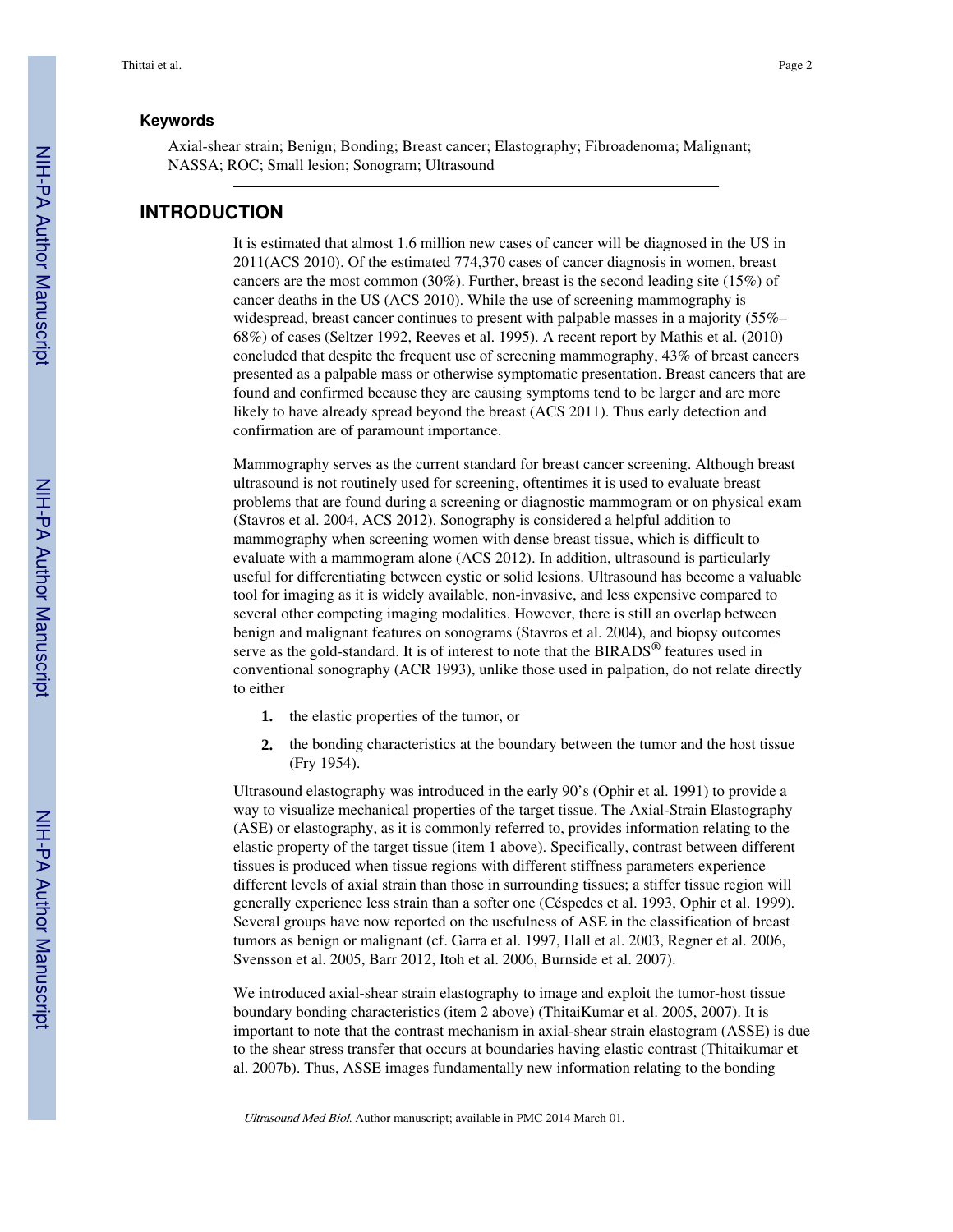#### **Keywords**

Axial-shear strain; Benign; Bonding; Breast cancer; Elastography; Fibroadenoma; Malignant; NASSA; ROC; Small lesion; Sonogram; Ultrasound

### **INTRODUCTION**

It is estimated that almost 1.6 million new cases of cancer will be diagnosed in the US in 2011(ACS 2010). Of the estimated 774,370 cases of cancer diagnosis in women, breast cancers are the most common (30%). Further, breast is the second leading site (15%) of cancer deaths in the US (ACS 2010). While the use of screening mammography is widespread, breast cancer continues to present with palpable masses in a majority (55%– 68%) of cases (Seltzer 1992, Reeves et al. 1995). A recent report by Mathis et al. (2010) concluded that despite the frequent use of screening mammography, 43% of breast cancers presented as a palpable mass or otherwise symptomatic presentation. Breast cancers that are found and confirmed because they are causing symptoms tend to be larger and are more likely to have already spread beyond the breast (ACS 2011). Thus early detection and confirmation are of paramount importance.

Mammography serves as the current standard for breast cancer screening. Although breast ultrasound is not routinely used for screening, oftentimes it is used to evaluate breast problems that are found during a screening or diagnostic mammogram or on physical exam (Stavros et al. 2004, ACS 2012). Sonography is considered a helpful addition to mammography when screening women with dense breast tissue, which is difficult to evaluate with a mammogram alone (ACS 2012). In addition, ultrasound is particularly useful for differentiating between cystic or solid lesions. Ultrasound has become a valuable tool for imaging as it is widely available, non-invasive, and less expensive compared to several other competing imaging modalities. However, there is still an overlap between benign and malignant features on sonograms (Stavros et al. 2004), and biopsy outcomes serve as the gold-standard. It is of interest to note that the BIRADS<sup>®</sup> features used in conventional sonography (ACR 1993), unlike those used in palpation, do not relate directly to either

- **1.** the elastic properties of the tumor, or
- **2.** the bonding characteristics at the boundary between the tumor and the host tissue (Fry 1954).

Ultrasound elastography was introduced in the early 90's (Ophir et al. 1991) to provide a way to visualize mechanical properties of the target tissue. The Axial-Strain Elastography (ASE) or elastography, as it is commonly referred to, provides information relating to the elastic property of the target tissue (item 1 above). Specifically, contrast between different tissues is produced when tissue regions with different stiffness parameters experience different levels of axial strain than those in surrounding tissues; a stiffer tissue region will generally experience less strain than a softer one (Céspedes et al. 1993, Ophir et al. 1999). Several groups have now reported on the usefulness of ASE in the classification of breast tumors as benign or malignant (cf. Garra et al. 1997, Hall et al. 2003, Regner et al. 2006, Svensson et al. 2005, Barr 2012, Itoh et al. 2006, Burnside et al. 2007).

We introduced axial-shear strain elastography to image and exploit the tumor-host tissue boundary bonding characteristics (item 2 above) (ThitaiKumar et al. 2005, 2007). It is important to note that the contrast mechanism in axial-shear strain elastogram (ASSE) is due to the shear stress transfer that occurs at boundaries having elastic contrast (Thitaikumar et al. 2007b). Thus, ASSE images fundamentally new information relating to the bonding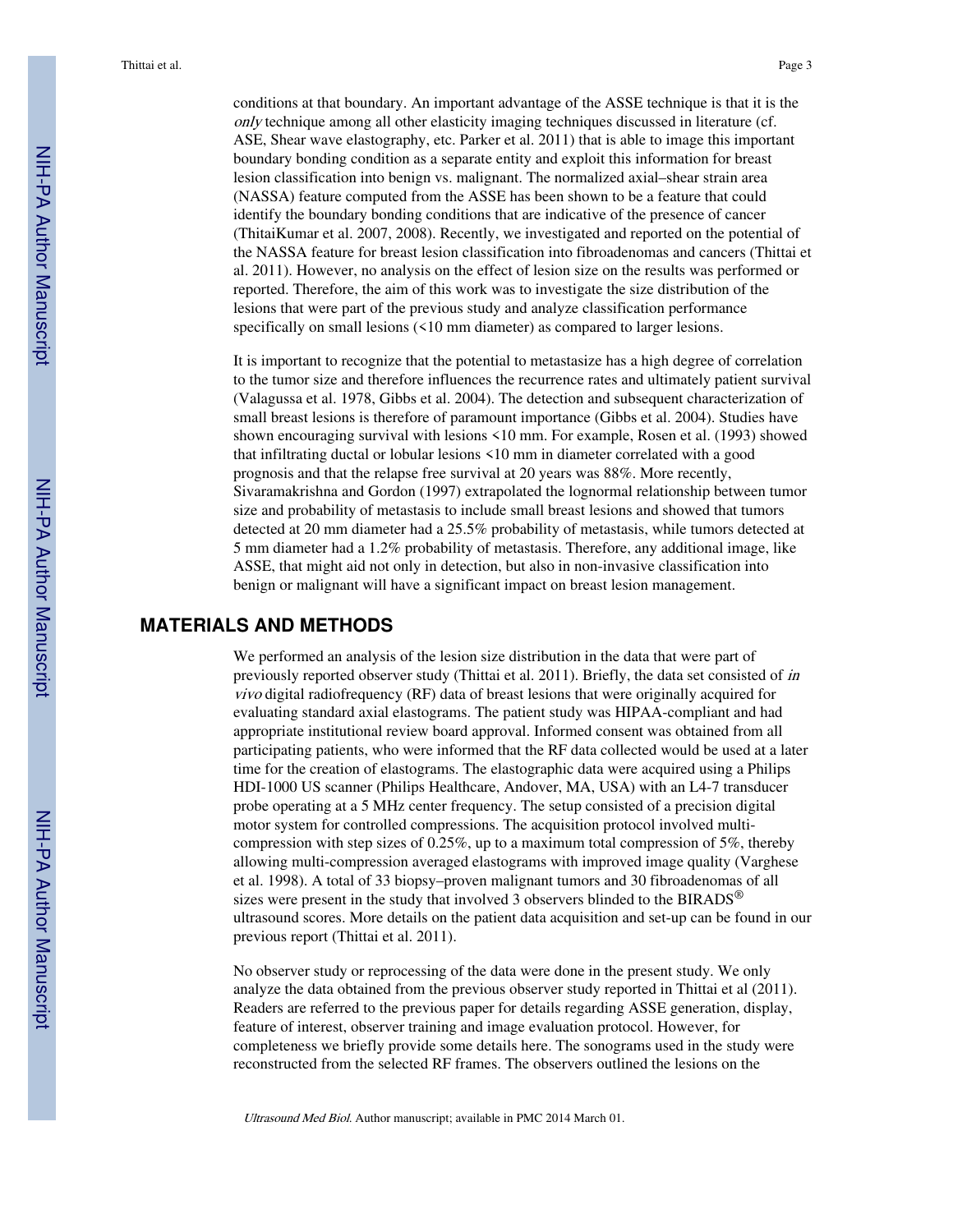conditions at that boundary. An important advantage of the ASSE technique is that it is the only technique among all other elasticity imaging techniques discussed in literature (cf. ASE, Shear wave elastography, etc. Parker et al. 2011) that is able to image this important boundary bonding condition as a separate entity and exploit this information for breast lesion classification into benign vs. malignant. The normalized axial–shear strain area (NASSA) feature computed from the ASSE has been shown to be a feature that could identify the boundary bonding conditions that are indicative of the presence of cancer (ThitaiKumar et al. 2007, 2008). Recently, we investigated and reported on the potential of the NASSA feature for breast lesion classification into fibroadenomas and cancers (Thittai et al. 2011). However, no analysis on the effect of lesion size on the results was performed or reported. Therefore, the aim of this work was to investigate the size distribution of the lesions that were part of the previous study and analyze classification performance specifically on small lesions (<10 mm diameter) as compared to larger lesions.

It is important to recognize that the potential to metastasize has a high degree of correlation to the tumor size and therefore influences the recurrence rates and ultimately patient survival (Valagussa et al. 1978, Gibbs et al. 2004). The detection and subsequent characterization of small breast lesions is therefore of paramount importance (Gibbs et al. 2004). Studies have shown encouraging survival with lesions <10 mm. For example, Rosen et al. (1993) showed that infiltrating ductal or lobular lesions <10 mm in diameter correlated with a good prognosis and that the relapse free survival at 20 years was 88%. More recently, Sivaramakrishna and Gordon (1997) extrapolated the lognormal relationship between tumor size and probability of metastasis to include small breast lesions and showed that tumors detected at 20 mm diameter had a 25.5% probability of metastasis, while tumors detected at 5 mm diameter had a 1.2% probability of metastasis. Therefore, any additional image, like ASSE, that might aid not only in detection, but also in non-invasive classification into benign or malignant will have a significant impact on breast lesion management.

### **MATERIALS AND METHODS**

We performed an analysis of the lesion size distribution in the data that were part of previously reported observer study (Thittai et al. 2011). Briefly, the data set consisted of in vivo digital radiofrequency (RF) data of breast lesions that were originally acquired for evaluating standard axial elastograms. The patient study was HIPAA-compliant and had appropriate institutional review board approval. Informed consent was obtained from all participating patients, who were informed that the RF data collected would be used at a later time for the creation of elastograms. The elastographic data were acquired using a Philips HDI-1000 US scanner (Philips Healthcare, Andover, MA, USA) with an L4-7 transducer probe operating at a 5 MHz center frequency. The setup consisted of a precision digital motor system for controlled compressions. The acquisition protocol involved multicompression with step sizes of 0.25%, up to a maximum total compression of 5%, thereby allowing multi-compression averaged elastograms with improved image quality (Varghese et al. 1998). A total of 33 biopsy–proven malignant tumors and 30 fibroadenomas of all sizes were present in the study that involved 3 observers blinded to the BIRADS<sup>®</sup> ultrasound scores. More details on the patient data acquisition and set-up can be found in our previous report (Thittai et al. 2011).

No observer study or reprocessing of the data were done in the present study. We only analyze the data obtained from the previous observer study reported in Thittai et al (2011). Readers are referred to the previous paper for details regarding ASSE generation, display, feature of interest, observer training and image evaluation protocol. However, for completeness we briefly provide some details here. The sonograms used in the study were reconstructed from the selected RF frames. The observers outlined the lesions on the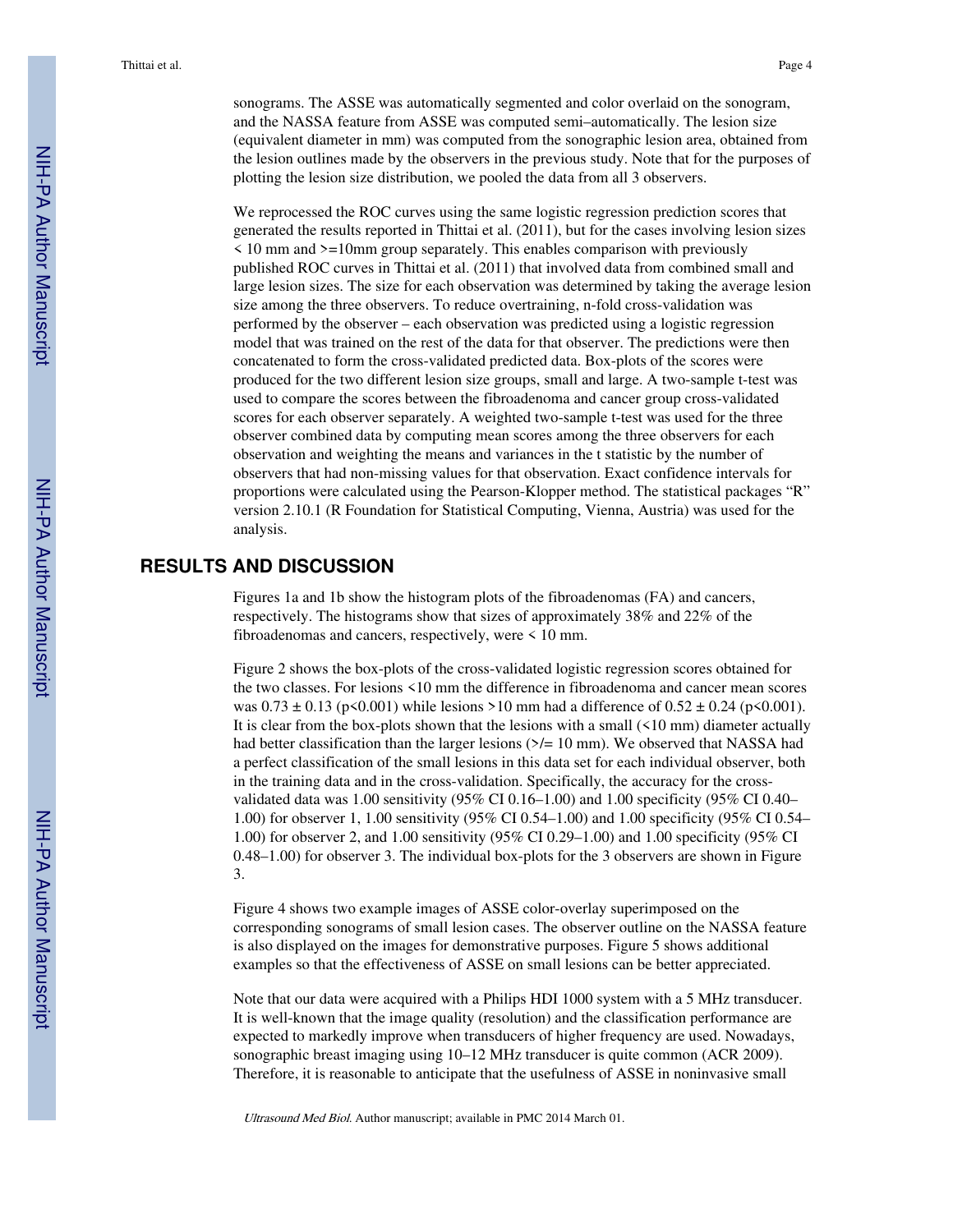sonograms. The ASSE was automatically segmented and color overlaid on the sonogram, and the NASSA feature from ASSE was computed semi–automatically. The lesion size (equivalent diameter in mm) was computed from the sonographic lesion area, obtained from the lesion outlines made by the observers in the previous study. Note that for the purposes of plotting the lesion size distribution, we pooled the data from all 3 observers.

We reprocessed the ROC curves using the same logistic regression prediction scores that generated the results reported in Thittai et al. (2011), but for the cases involving lesion sizes  $\leq$  10 mm and  $\geq$ =10mm group separately. This enables comparison with previously published ROC curves in Thittai et al. (2011) that involved data from combined small and large lesion sizes. The size for each observation was determined by taking the average lesion size among the three observers. To reduce overtraining, n-fold cross-validation was performed by the observer – each observation was predicted using a logistic regression model that was trained on the rest of the data for that observer. The predictions were then concatenated to form the cross-validated predicted data. Box-plots of the scores were produced for the two different lesion size groups, small and large. A two-sample t-test was used to compare the scores between the fibroadenoma and cancer group cross-validated scores for each observer separately. A weighted two-sample t-test was used for the three observer combined data by computing mean scores among the three observers for each observation and weighting the means and variances in the t statistic by the number of observers that had non-missing values for that observation. Exact confidence intervals for proportions were calculated using the Pearson-Klopper method. The statistical packages "R" version 2.10.1 (R Foundation for Statistical Computing, Vienna, Austria) was used for the analysis.

# **RESULTS AND DISCUSSION**

Figures 1a and 1b show the histogram plots of the fibroadenomas (FA) and cancers, respectively. The histograms show that sizes of approximately 38% and 22% of the fibroadenomas and cancers, respectively, were < 10 mm.

Figure 2 shows the box-plots of the cross-validated logistic regression scores obtained for the two classes. For lesions <10 mm the difference in fibroadenoma and cancer mean scores was  $0.73 \pm 0.13$  (p<0.001) while lesions >10 mm had a difference of  $0.52 \pm 0.24$  (p<0.001). It is clear from the box-plots shown that the lesions with a small (<10 mm) diameter actually had better classification than the larger lesions  $\frac{5}{4}$  10 mm). We observed that NASSA had a perfect classification of the small lesions in this data set for each individual observer, both in the training data and in the cross-validation. Specifically, the accuracy for the crossvalidated data was 1.00 sensitivity (95% CI 0.16–1.00) and 1.00 specificity (95% CI 0.40– 1.00) for observer 1, 1.00 sensitivity (95% CI 0.54–1.00) and 1.00 specificity (95% CI 0.54– 1.00) for observer 2, and 1.00 sensitivity (95% CI 0.29–1.00) and 1.00 specificity (95% CI 0.48–1.00) for observer 3. The individual box-plots for the 3 observers are shown in Figure 3.

Figure 4 shows two example images of ASSE color-overlay superimposed on the corresponding sonograms of small lesion cases. The observer outline on the NASSA feature is also displayed on the images for demonstrative purposes. Figure 5 shows additional examples so that the effectiveness of ASSE on small lesions can be better appreciated.

Note that our data were acquired with a Philips HDI 1000 system with a 5 MHz transducer. It is well-known that the image quality (resolution) and the classification performance are expected to markedly improve when transducers of higher frequency are used. Nowadays, sonographic breast imaging using 10–12 MHz transducer is quite common (ACR 2009). Therefore, it is reasonable to anticipate that the usefulness of ASSE in noninvasive small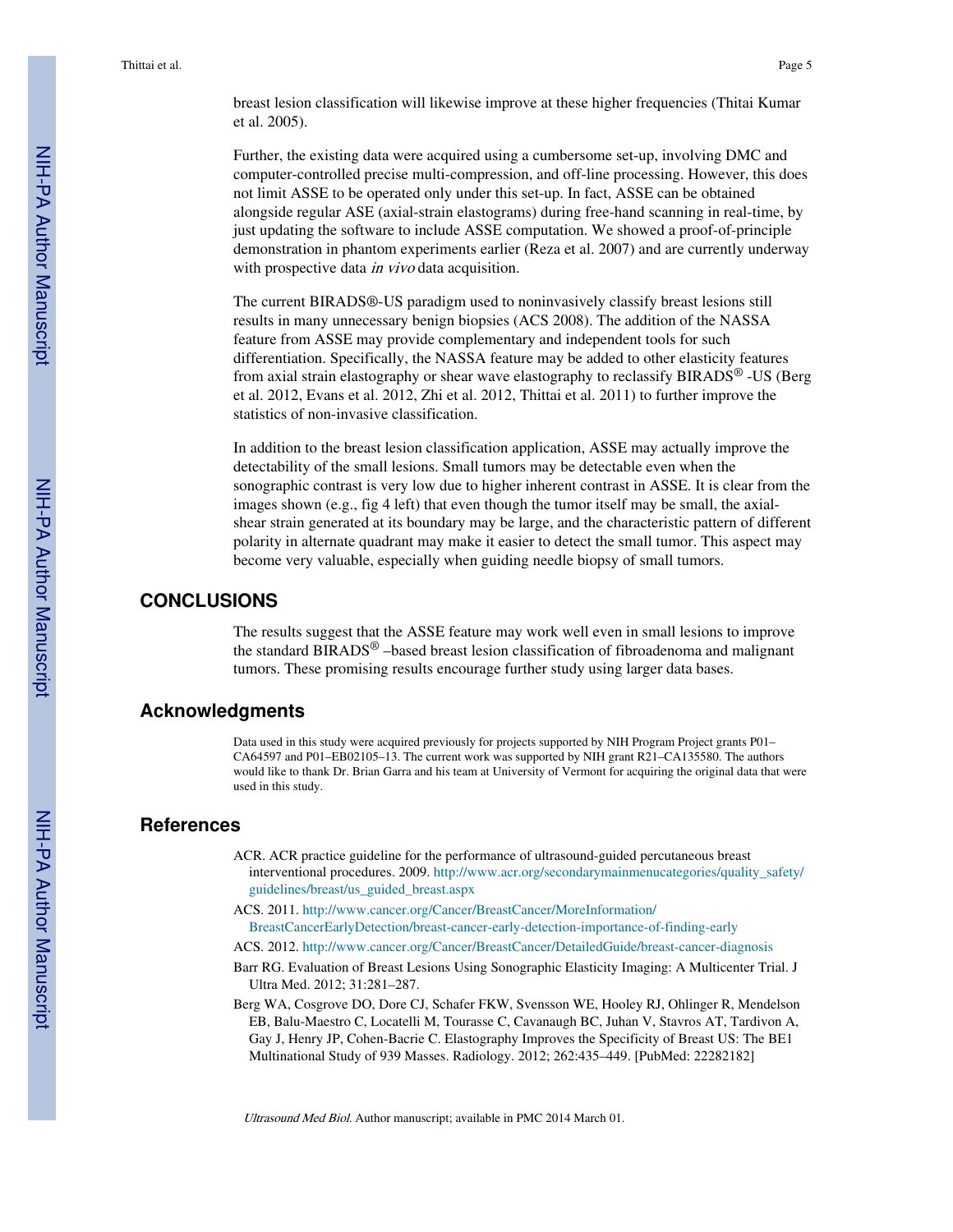breast lesion classification will likewise improve at these higher frequencies (Thitai Kumar et al. 2005).

Further, the existing data were acquired using a cumbersome set-up, involving DMC and computer-controlled precise multi-compression, and off-line processing. However, this does not limit ASSE to be operated only under this set-up. In fact, ASSE can be obtained alongside regular ASE (axial-strain elastograms) during free-hand scanning in real-time, by just updating the software to include ASSE computation. We showed a proof-of-principle demonstration in phantom experiments earlier (Reza et al. 2007) and are currently underway with prospective data *in vivo* data acquisition.

The current BIRADS®-US paradigm used to noninvasively classify breast lesions still results in many unnecessary benign biopsies (ACS 2008). The addition of the NASSA feature from ASSE may provide complementary and independent tools for such differentiation. Specifically, the NASSA feature may be added to other elasticity features from axial strain elastography or shear wave elastography to reclassify BIRADS® -US (Berg et al. 2012, Evans et al. 2012, Zhi et al. 2012, Thittai et al. 2011) to further improve the statistics of non-invasive classification.

In addition to the breast lesion classification application, ASSE may actually improve the detectability of the small lesions. Small tumors may be detectable even when the sonographic contrast is very low due to higher inherent contrast in ASSE. It is clear from the images shown (e.g., fig 4 left) that even though the tumor itself may be small, the axialshear strain generated at its boundary may be large, and the characteristic pattern of different polarity in alternate quadrant may make it easier to detect the small tumor. This aspect may become very valuable, especially when guiding needle biopsy of small tumors.

### **CONCLUSIONS**

The results suggest that the ASSE feature may work well even in small lesions to improve the standard BIRADS® –based breast lesion classification of fibroadenoma and malignant tumors. These promising results encourage further study using larger data bases.

#### **Acknowledgments**

Data used in this study were acquired previously for projects supported by NIH Program Project grants P01– CA64597 and P01–EB02105–13. The current work was supported by NIH grant R21–CA135580. The authors would like to thank Dr. Brian Garra and his team at University of Vermont for acquiring the original data that were used in this study.

#### **References**

- ACR. ACR practice guideline for the performance of ultrasound-guided percutaneous breast interventional procedures. 2009. http://www.acr.org/secondarymainmenucategories/quality\_safety/ guidelines/breast/us\_guided\_breast.aspx
- ACS. 2011. http://www.cancer.org/Cancer/BreastCancer/MoreInformation/ BreastCancerEarlyDetection/breast-cancer-early-detection-importance-of-finding-early
- ACS. 2012. http://www.cancer.org/Cancer/BreastCancer/DetailedGuide/breast-cancer-diagnosis
- Barr RG. Evaluation of Breast Lesions Using Sonographic Elasticity Imaging: A Multicenter Trial. J Ultra Med. 2012; 31:281–287.
- Berg WA, Cosgrove DO, Dore CJ, Schafer FKW, Svensson WE, Hooley RJ, Ohlinger R, Mendelson EB, Balu-Maestro C, Locatelli M, Tourasse C, Cavanaugh BC, Juhan V, Stavros AT, Tardivon A, Gay J, Henry JP, Cohen-Bacrie C. Elastography Improves the Specificity of Breast US: The BE1 Multinational Study of 939 Masses. Radiology. 2012; 262:435–449. [PubMed: 22282182]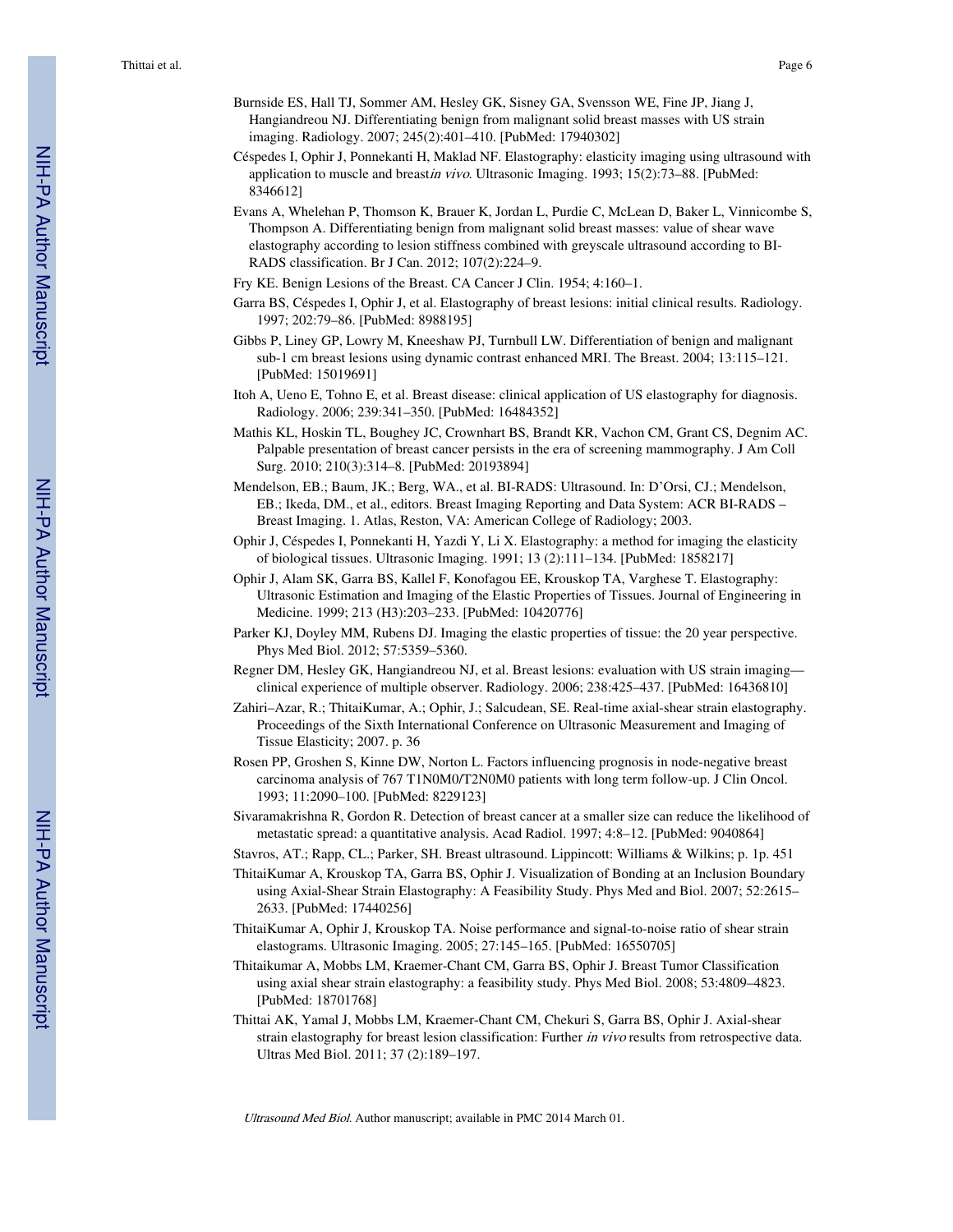- Burnside ES, Hall TJ, Sommer AM, Hesley GK, Sisney GA, Svensson WE, Fine JP, Jiang J, Hangiandreou NJ. Differentiating benign from malignant solid breast masses with US strain imaging. Radiology. 2007; 245(2):401–410. [PubMed: 17940302]
- Céspedes I, Ophir J, Ponnekanti H, Maklad NF. Elastography: elasticity imaging using ultrasound with application to muscle and breastin vivo. Ultrasonic Imaging. 1993; 15(2):73-88. [PubMed: 8346612]
- Evans A, Whelehan P, Thomson K, Brauer K, Jordan L, Purdie C, McLean D, Baker L, Vinnicombe S, Thompson A. Differentiating benign from malignant solid breast masses: value of shear wave elastography according to lesion stiffness combined with greyscale ultrasound according to BI-RADS classification. Br J Can. 2012; 107(2):224–9.
- Fry KE. Benign Lesions of the Breast. CA Cancer J Clin. 1954; 4:160–1.
- Garra BS, Céspedes I, Ophir J, et al. Elastography of breast lesions: initial clinical results. Radiology. 1997; 202:79–86. [PubMed: 8988195]
- Gibbs P, Liney GP, Lowry M, Kneeshaw PJ, Turnbull LW. Differentiation of benign and malignant sub-1 cm breast lesions using dynamic contrast enhanced MRI. The Breast. 2004; 13:115–121. [PubMed: 15019691]
- Itoh A, Ueno E, Tohno E, et al. Breast disease: clinical application of US elastography for diagnosis. Radiology. 2006; 239:341–350. [PubMed: 16484352]
- Mathis KL, Hoskin TL, Boughey JC, Crownhart BS, Brandt KR, Vachon CM, Grant CS, Degnim AC. Palpable presentation of breast cancer persists in the era of screening mammography. J Am Coll Surg. 2010; 210(3):314–8. [PubMed: 20193894]
- Mendelson, EB.; Baum, JK.; Berg, WA., et al. BI-RADS: Ultrasound. In: D'Orsi, CJ.; Mendelson, EB.; Ikeda, DM., et al., editors. Breast Imaging Reporting and Data System: ACR BI-RADS – Breast Imaging. 1. Atlas, Reston, VA: American College of Radiology; 2003.
- Ophir J, Céspedes I, Ponnekanti H, Yazdi Y, Li X. Elastography: a method for imaging the elasticity of biological tissues. Ultrasonic Imaging. 1991; 13 (2):111–134. [PubMed: 1858217]
- Ophir J, Alam SK, Garra BS, Kallel F, Konofagou EE, Krouskop TA, Varghese T. Elastography: Ultrasonic Estimation and Imaging of the Elastic Properties of Tissues. Journal of Engineering in Medicine. 1999; 213 (H3):203–233. [PubMed: 10420776]
- Parker KJ, Doyley MM, Rubens DJ. Imaging the elastic properties of tissue: the 20 year perspective. Phys Med Biol. 2012; 57:5359–5360.
- Regner DM, Hesley GK, Hangiandreou NJ, et al. Breast lesions: evaluation with US strain imaging clinical experience of multiple observer. Radiology. 2006; 238:425–437. [PubMed: 16436810]
- Zahiri–Azar, R.; ThitaiKumar, A.; Ophir, J.; Salcudean, SE. Real-time axial-shear strain elastography. Proceedings of the Sixth International Conference on Ultrasonic Measurement and Imaging of Tissue Elasticity; 2007. p. 36
- Rosen PP, Groshen S, Kinne DW, Norton L. Factors influencing prognosis in node-negative breast carcinoma analysis of 767 T1N0M0/T2N0M0 patients with long term follow-up. J Clin Oncol. 1993; 11:2090–100. [PubMed: 8229123]
- Sivaramakrishna R, Gordon R. Detection of breast cancer at a smaller size can reduce the likelihood of metastatic spread: a quantitative analysis. Acad Radiol. 1997; 4:8–12. [PubMed: 9040864]
- Stavros, AT.; Rapp, CL.; Parker, SH. Breast ultrasound. Lippincott: Williams & Wilkins; p. 1p. 451
- ThitaiKumar A, Krouskop TA, Garra BS, Ophir J. Visualization of Bonding at an Inclusion Boundary using Axial-Shear Strain Elastography: A Feasibility Study. Phys Med and Biol. 2007; 52:2615– 2633. [PubMed: 17440256]
- ThitaiKumar A, Ophir J, Krouskop TA. Noise performance and signal-to-noise ratio of shear strain elastograms. Ultrasonic Imaging. 2005; 27:145–165. [PubMed: 16550705]
- Thitaikumar A, Mobbs LM, Kraemer-Chant CM, Garra BS, Ophir J. Breast Tumor Classification using axial shear strain elastography: a feasibility study. Phys Med Biol. 2008; 53:4809–4823. [PubMed: 18701768]
- Thittai AK, Yamal J, Mobbs LM, Kraemer-Chant CM, Chekuri S, Garra BS, Ophir J. Axial-shear strain elastography for breast lesion classification: Further in vivo results from retrospective data. Ultras Med Biol. 2011; 37 (2):189–197.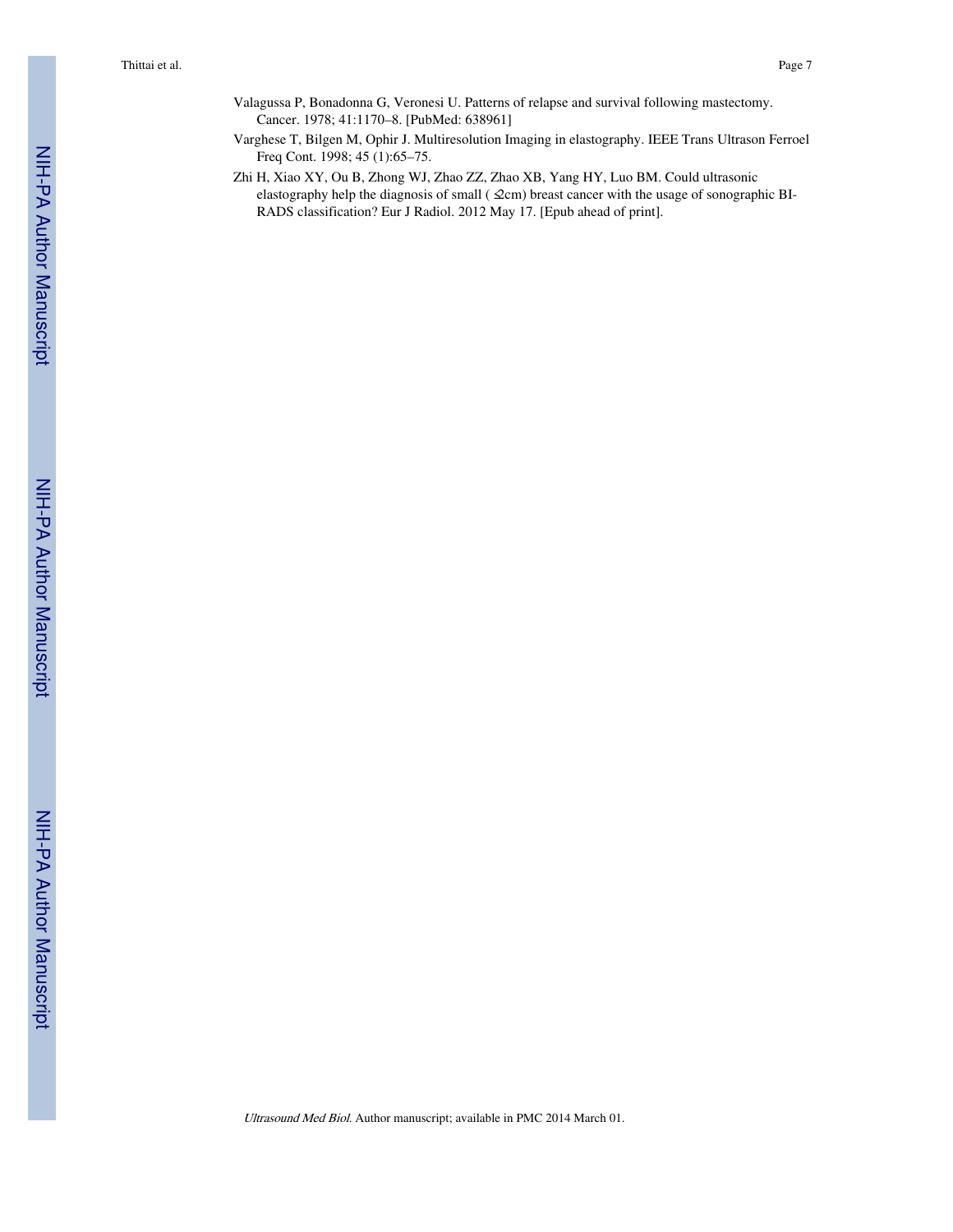- Valagussa P, Bonadonna G, Veronesi U. Patterns of relapse and survival following mastectomy. Cancer. 1978; 41:1170–8. [PubMed: 638961]
- Varghese T, Bilgen M, Ophir J. Multiresolution Imaging in elastography. IEEE Trans Ultrason Ferroel Freq Cont. 1998; 45 (1):65–75.
- Zhi H, Xiao XY, Ou B, Zhong WJ, Zhao ZZ, Zhao XB, Yang HY, Luo BM. Could ultrasonic elastography help the diagnosis of small ( $\mathcal{Q}cm$ ) breast cancer with the usage of sonographic BI-RADS classification? Eur J Radiol. 2012 May 17. [Epub ahead of print].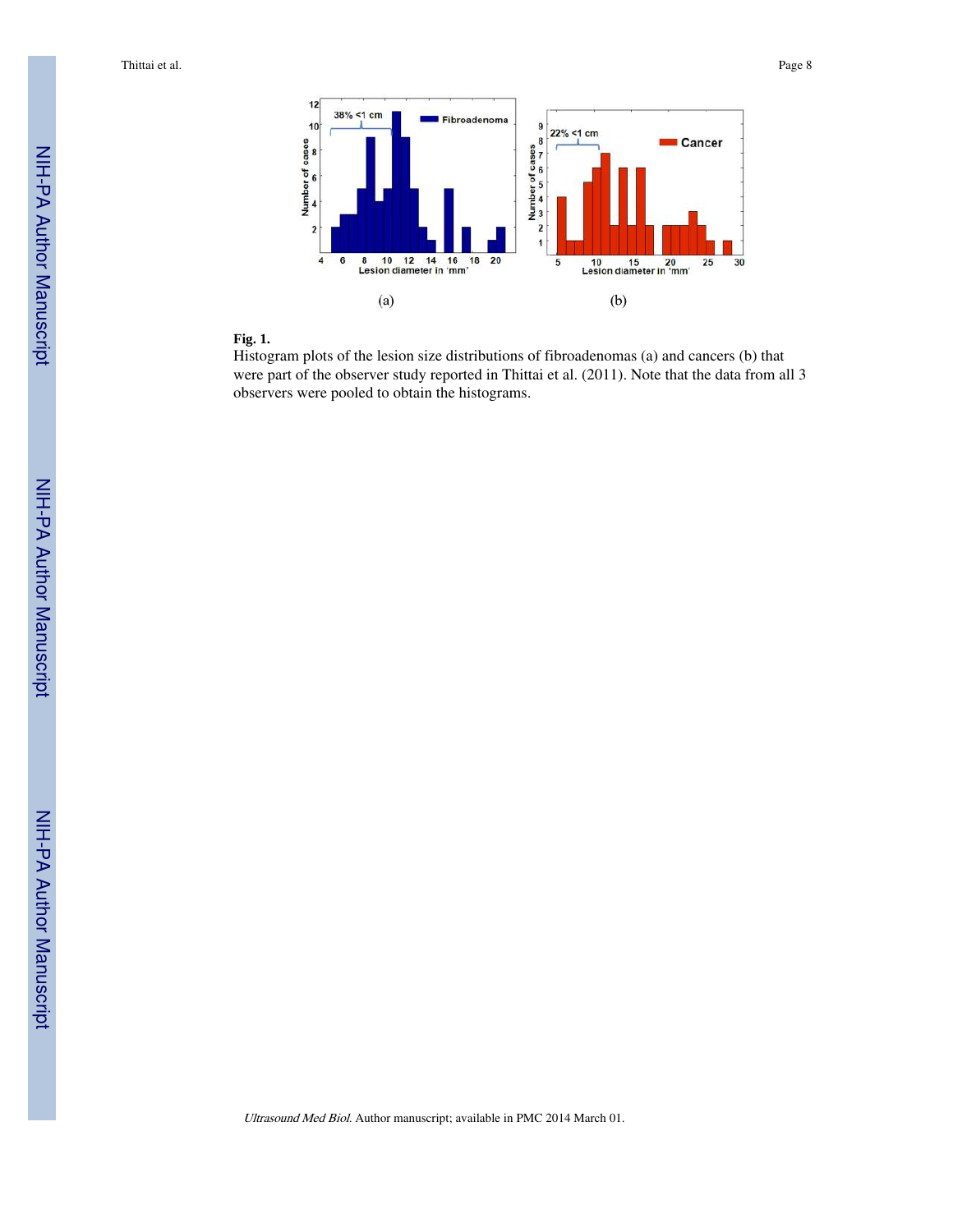Thittai et al. Page 8



#### **Fig. 1.**

Histogram plots of the lesion size distributions of fibroadenomas (a) and cancers (b) that were part of the observer study reported in Thittai et al. (2011). Note that the data from all 3 observers were pooled to obtain the histograms.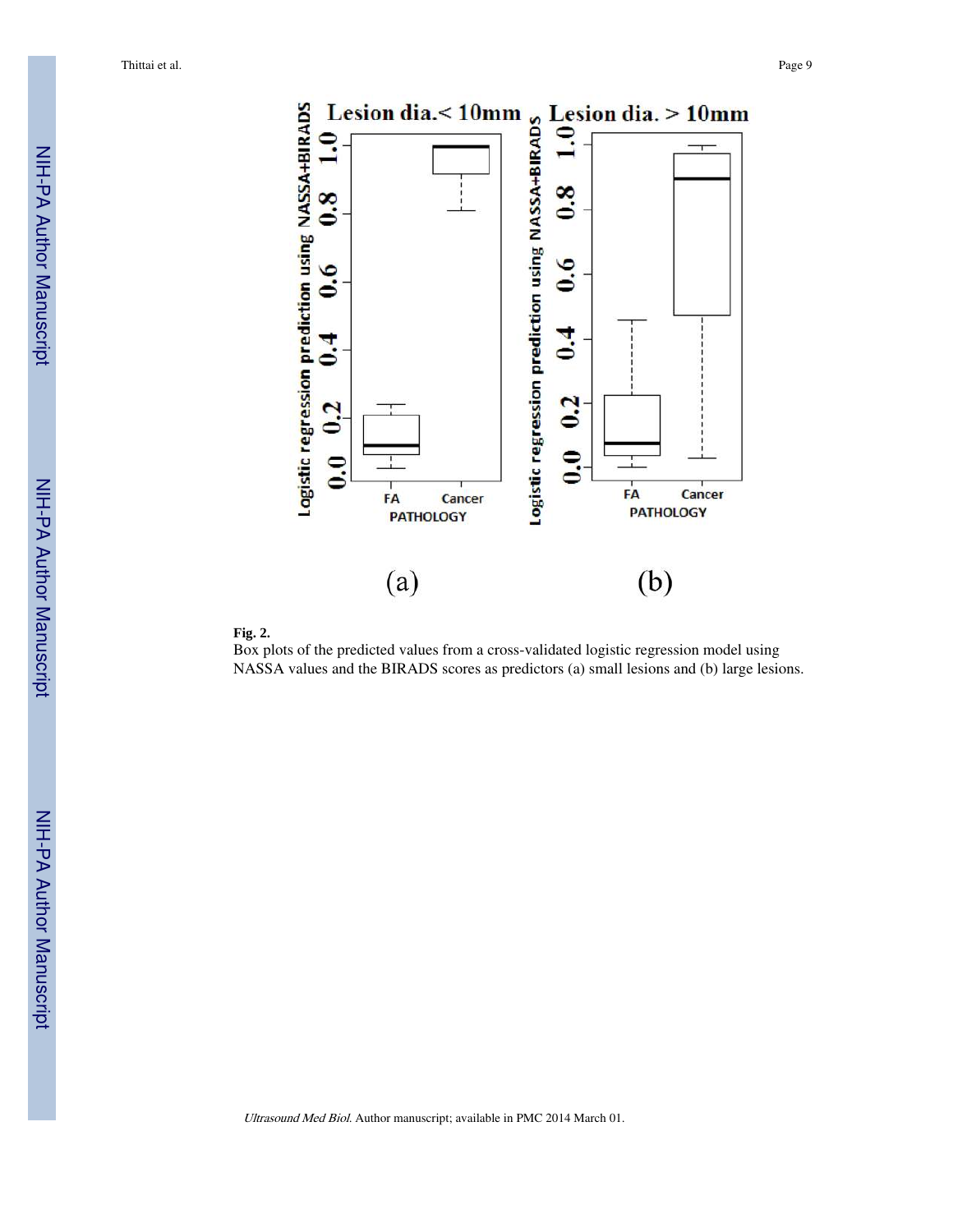



Box plots of the predicted values from a cross-validated logistic regression model using NASSA values and the BIRADS scores as predictors (a) small lesions and (b) large lesions.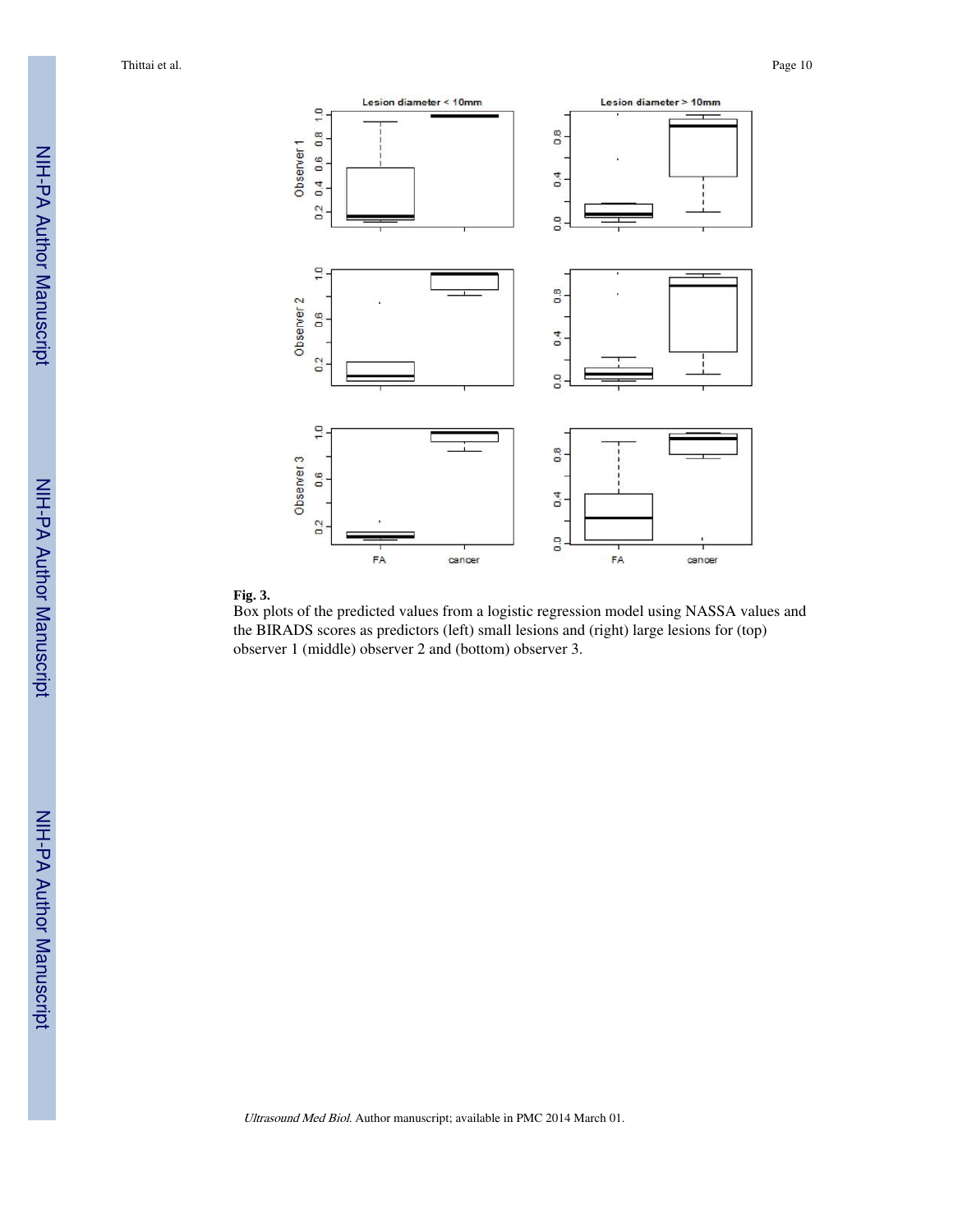



Box plots of the predicted values from a logistic regression model using NASSA values and the BIRADS scores as predictors (left) small lesions and (right) large lesions for (top) observer 1 (middle) observer 2 and (bottom) observer 3.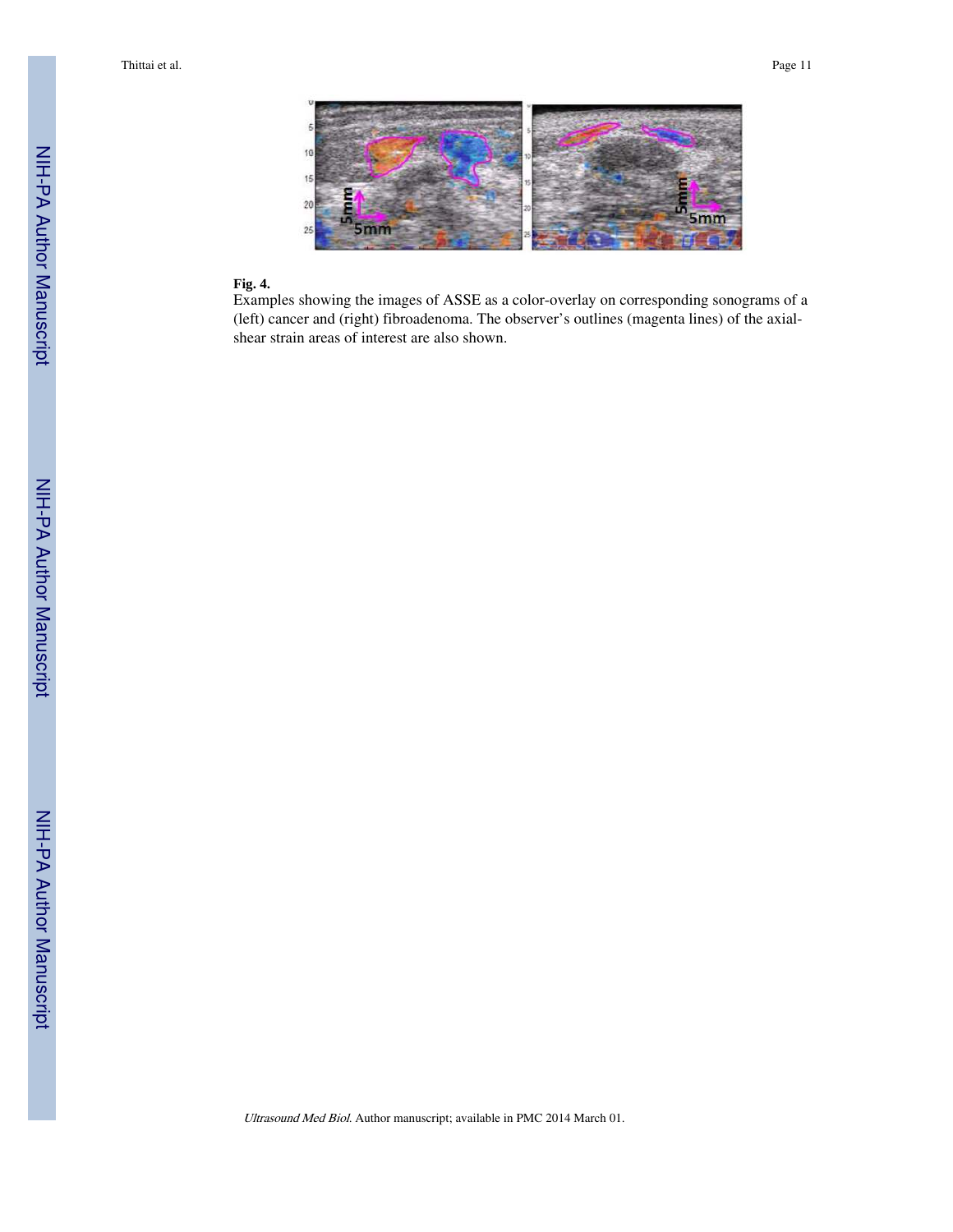Thittai et al. Page 11



#### **Fig. 4.**

Examples showing the images of ASSE as a color-overlay on corresponding sonograms of a (left) cancer and (right) fibroadenoma. The observer's outlines (magenta lines) of the axialshear strain areas of interest are also shown.